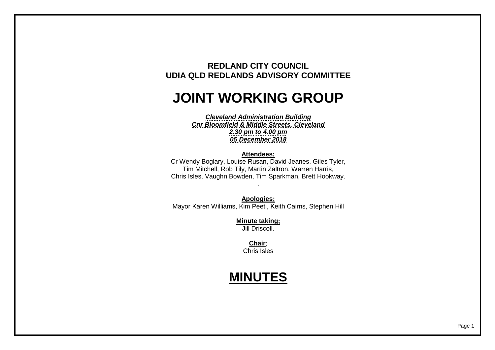## **REDLAND CITY COUNCIL UDIA QLD REDLANDS ADVISORY COMMITTEE**

## **JOINT WORKING GROUP**

*Cleveland Administration Building Cnr Bloomfield & Middle Streets, Cleveland 2.30 pm to 4.00 pm 05 December 2018*

## **Attendees;**

Cr Wendy Boglary, Louise Rusan, David Jeanes, Giles Tyler, Tim Mitchell, Rob Tily, Martin Zaltron, Warren Harris, Chris Isles, Vaughn Bowden, Tim Sparkman, Brett Hookway.

.

**Apologies;** Mayor Karen Williams, Kim Peeti, Keith Cairns, Stephen Hill

> **Minute taking;** Jill Driscoll.

> > **Chair**; Chris Isles

## **MINUTES**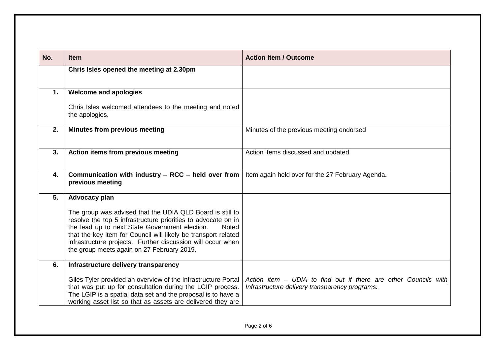| No. | <b>Item</b>                                                                                                                                                                                                                                                                                                                                                                 | <b>Action Item / Outcome</b>                                                                                      |
|-----|-----------------------------------------------------------------------------------------------------------------------------------------------------------------------------------------------------------------------------------------------------------------------------------------------------------------------------------------------------------------------------|-------------------------------------------------------------------------------------------------------------------|
|     | Chris Isles opened the meeting at 2.30pm                                                                                                                                                                                                                                                                                                                                    |                                                                                                                   |
|     |                                                                                                                                                                                                                                                                                                                                                                             |                                                                                                                   |
| 1.  | <b>Welcome and apologies</b>                                                                                                                                                                                                                                                                                                                                                |                                                                                                                   |
|     | Chris Isles welcomed attendees to the meeting and noted<br>the apologies.                                                                                                                                                                                                                                                                                                   |                                                                                                                   |
| 2.  | <b>Minutes from previous meeting</b>                                                                                                                                                                                                                                                                                                                                        | Minutes of the previous meeting endorsed                                                                          |
| 3.  | Action items from previous meeting                                                                                                                                                                                                                                                                                                                                          | Action items discussed and updated                                                                                |
| 4.  | Communication with industry - RCC - held over from<br>previous meeting                                                                                                                                                                                                                                                                                                      | Item again held over for the 27 February Agenda.                                                                  |
| 5.  | Advocacy plan                                                                                                                                                                                                                                                                                                                                                               |                                                                                                                   |
|     | The group was advised that the UDIA QLD Board is still to<br>resolve the top 5 infrastructure priorities to advocate on in<br>the lead up to next State Government election.<br><b>Noted</b><br>that the key item for Council will likely be transport related<br>infrastructure projects. Further discussion will occur when<br>the group meets again on 27 February 2019. |                                                                                                                   |
| 6.  | Infrastructure delivery transparency                                                                                                                                                                                                                                                                                                                                        |                                                                                                                   |
|     | Giles Tyler provided an overview of the Infrastructure Portal<br>that was put up for consultation during the LGIP process.<br>The LGIP is a spatial data set and the proposal is to have a<br>working asset list so that as assets are delivered they are                                                                                                                   | Action item - UDIA to find out if there are other Councils with<br>Infrastructure delivery transparency programs. |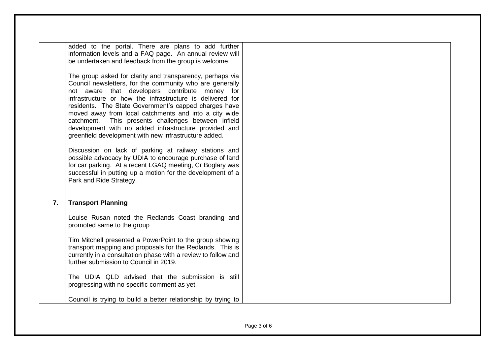|    | added to the portal. There are plans to add further<br>information levels and a FAQ page. An annual review will<br>be undertaken and feedback from the group is welcome.<br>The group asked for clarity and transparency, perhaps via<br>Council newsletters, for the community who are generally<br>not aware that developers contribute money for<br>infrastructure or how the infrastructure is delivered for<br>residents. The State Government's capped charges have<br>moved away from local catchments and into a city wide<br>catchment. This presents challenges between infield<br>development with no added infrastructure provided and<br>greenfield development with new infrastructure added.<br>Discussion on lack of parking at railway stations and<br>possible advocacy by UDIA to encourage purchase of land<br>for car parking. At a recent LGAQ meeting, Cr Boglary was<br>successful in putting up a motion for the development of a<br>Park and Ride Strategy. |  |
|----|---------------------------------------------------------------------------------------------------------------------------------------------------------------------------------------------------------------------------------------------------------------------------------------------------------------------------------------------------------------------------------------------------------------------------------------------------------------------------------------------------------------------------------------------------------------------------------------------------------------------------------------------------------------------------------------------------------------------------------------------------------------------------------------------------------------------------------------------------------------------------------------------------------------------------------------------------------------------------------------|--|
| 7. | <b>Transport Planning</b><br>Louise Rusan noted the Redlands Coast branding and<br>promoted same to the group                                                                                                                                                                                                                                                                                                                                                                                                                                                                                                                                                                                                                                                                                                                                                                                                                                                                         |  |
|    | Tim Mitchell presented a PowerPoint to the group showing<br>transport mapping and proposals for the Redlands. This is<br>currently in a consultation phase with a review to follow and<br>further submission to Council in 2019.                                                                                                                                                                                                                                                                                                                                                                                                                                                                                                                                                                                                                                                                                                                                                      |  |
|    | The UDIA QLD advised that the submission is still<br>progressing with no specific comment as yet.                                                                                                                                                                                                                                                                                                                                                                                                                                                                                                                                                                                                                                                                                                                                                                                                                                                                                     |  |
|    | Council is trying to build a better relationship by trying to                                                                                                                                                                                                                                                                                                                                                                                                                                                                                                                                                                                                                                                                                                                                                                                                                                                                                                                         |  |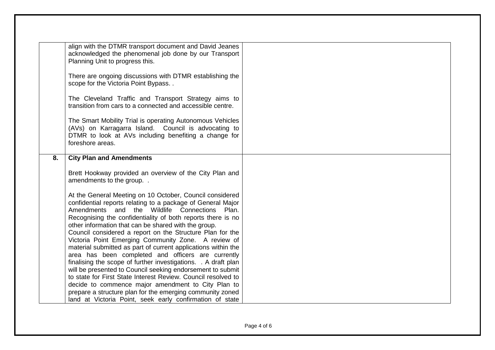|    | align with the DTMR transport document and David Jeanes        |
|----|----------------------------------------------------------------|
|    | acknowledged the phenomenal job done by our Transport          |
|    | Planning Unit to progress this.                                |
|    |                                                                |
|    | There are ongoing discussions with DTMR establishing the       |
|    | scope for the Victoria Point Bypass                            |
|    |                                                                |
|    | The Cleveland Traffic and Transport Strategy aims to           |
|    | transition from cars to a connected and accessible centre.     |
|    |                                                                |
|    | The Smart Mobility Trial is operating Autonomous Vehicles      |
|    | (AVs) on Karragarra Island. Council is advocating to           |
|    |                                                                |
|    | DTMR to look at AVs including benefiting a change for          |
|    | foreshore areas.                                               |
|    |                                                                |
| 8. | <b>City Plan and Amendments</b>                                |
|    |                                                                |
|    | Brett Hookway provided an overview of the City Plan and        |
|    | amendments to the group                                        |
|    |                                                                |
|    | At the General Meeting on 10 October, Council considered       |
|    | confidential reports relating to a package of General Major    |
|    | Amendments and the Wildlife Connections<br>Plan.               |
|    | Recognising the confidentiality of both reports there is no    |
|    |                                                                |
|    | other information that can be shared with the group.           |
|    | Council considered a report on the Structure Plan for the      |
|    | Victoria Point Emerging Community Zone. A review of            |
|    | material submitted as part of current applications within the  |
|    | area has been completed and officers are currently             |
|    | finalising the scope of further investigations. . A draft plan |
|    | will be presented to Council seeking endorsement to submit     |
|    | to state for First State Interest Review. Council resolved to  |
|    | decide to commence major amendment to City Plan to             |
|    | prepare a structure plan for the emerging community zoned      |
|    |                                                                |
|    | land at Victoria Point, seek early confirmation of state       |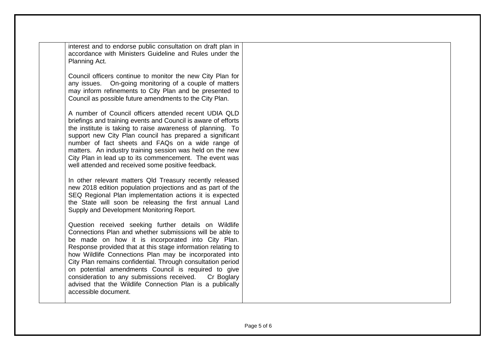| interest and to endorse public consultation on draft plan in |  |  |  |  |
|--------------------------------------------------------------|--|--|--|--|
| accordance with Ministers Guideline and Rules under the      |  |  |  |  |
| Planning Act.                                                |  |  |  |  |

Council officers continue to monitor the new City Plan for any issues. On-going monitoring of a couple of matters may inform refinements to City Plan and be presented to Council as possible future amendments to the City Plan.

A number of Council officers attended recent UDIA QLD briefings and training events and Council is aware of efforts the institute is taking to raise awareness of planning. To support new City Plan council has prepared a significant number of fact sheets and FAQs on a wide range of matters. An industry training session was held on the new City Plan in lead up to its commencement. The event was well attended and received some positive feedback.

In other relevant matters Qld Treasury recently released new 2018 edition population projections and as part of the SEQ Regional Plan implementation actions it is expected the State will soon be releasing the first annual Land Supply and Development Monitoring Report.

Question received seeking further details on Wildlife Connections Plan and whether submissions will be able to be made on how it is incorporated into City Plan. Response provided that at this stage information relating to how Wildlife Connections Plan may be incorporated into City Plan remains confidential. Through consultation period on potential amendments Council is required to give consideration to any submissions received. Cr Boglary advised that the Wildlife Connection Plan is a publically accessible document.